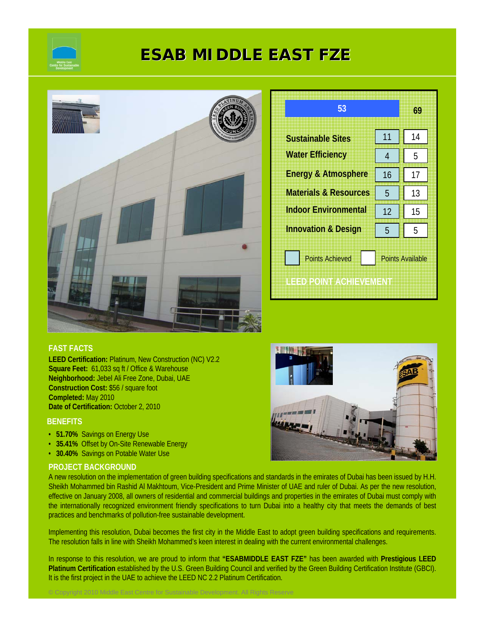

# **ESAB MIDDLE EAST FZE ESAB MIDDLE EAST FZE**



| 53                               |                         | 69 |  |
|----------------------------------|-------------------------|----|--|
| <b>Sustainable Sites</b>         | 11                      | 14 |  |
| <b>Water Efficiency</b>          | 4                       | 5  |  |
| <b>Energy &amp; Atmosphere</b>   | 16                      | 17 |  |
| <b>Materials &amp; Resources</b> | 5                       | 13 |  |
| <b>Indoor Environmental</b>      | 12                      | 15 |  |
| <b>Innovation &amp; Design</b>   | 5                       | 5  |  |
| <b>Points Achieved</b>           | <b>Points Available</b> |    |  |
| ILE EDI POINT AVOHIEVAMENT       |                         |    |  |

# **FAST FACTS**

**LEED Certification:** Platinum, New Construction (NC) V2.2 **Square Feet:** 61,033 sq ft / Office & Warehouse **Neighborhood:** Jebel Ali Free Zone, Dubai, UAE **Construction Cost:** \$56 / square foot **Completed:** May 2010 **Date of Certification:** October 2, 2010

# **BENEFITS**

- **51.70%** Savings on Energy Use
- **35.41%** Offset by On-Site Renewable Energy
- **30.40%** Savings on Potable Water Use

# **PROJECT BACKGROUND**

A new resolution on the implementation of green building specifications and standards in the emirates of Dubai has been issued by H.H. Sheikh Mohammed bin Rashid Al Makhtoum, Vice-President and Prime Minister of UAE and ruler of Dubai. As per the new resolution, effective on January 2008, all owners of residential and commercial buildings and properties in the emirates of Dubai must comply with the internationally recognized environment friendly specifications to turn Dubai into a healthy city that meets the demands of best practices and benchmarks of pollution-free sustainable development.

Implementing this resolution, Dubai becomes the first city in the Middle East to adopt green building specifications and requirements. The resolution falls in line with Sheikh Mohammed's keen interest in dealing with the current environmental challenges.

In response to this resolution, we are proud to inform that **"ESABMIDDLE EAST FZE"** has been awarded with **Prestigious LEED Platinum Certification** established by the U.S. Green Building Council and verified by the Green Building Certification Institute (GBCI). It is the first project in the UAE to achieve the LEED NC 2.2 Platinum Certification.